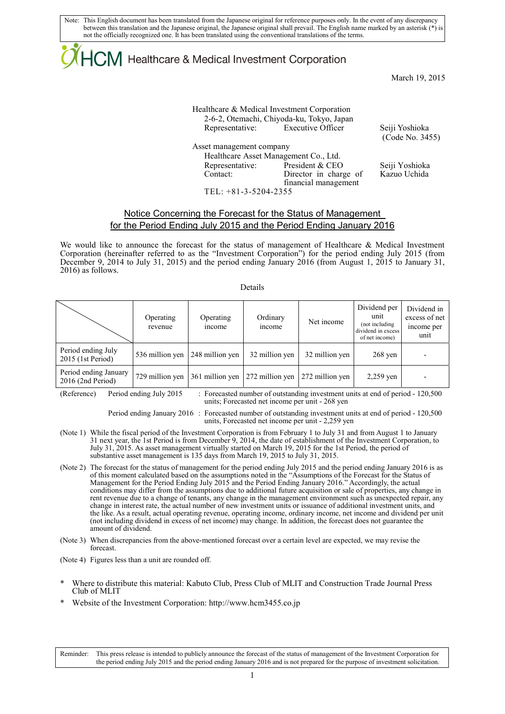Note: This English document has been translated from the Japanese original for reference purposes only. In the event of any discrepancy between this translation and the Japanese original, the Japanese original shall prevail. The English name marked by an asterisk (\*) is not the officially recognized one. It has been translated using the conventional translations of the terms.

## ICM Healthcare & Medical Investment Corporation

March 19, 2015

Healthcare & Medical Investment Corporation 2-6-2, Otemachi, Chiyoda-ku, Tokyo, Japan Representative: Executive Officer Seiji Yoshioka Asset management company Healthcare Asset Management Co., Ltd. Representative: President & CEO Seiji Yoshioka

 Contact: Director in charge of financial management TEL: +81-3-5204-2355

(Code No. 3455)

Kazuo Uchida

### Notice Concerning the Forecast for the Status of Management for the Period Ending July 2015 and the Period Ending January 2016

We would like to announce the forecast for the status of management of Healthcare & Medical Investment Corporation (hereinafter referred to as the "Investment Corporation") for the period ending July 2015 (from December 9, 2014 to July 31, 2015) and the period ending January 2016 (from August 1, 2015 to January 31, 2016) as follows.

#### Details

|                                              | Operating<br>revenue | Operating<br>income | Ordinary<br>income | Net income      | unit<br>(not including<br>dividend in excess<br>of net income) | excess of net<br>income per<br>unit |
|----------------------------------------------|----------------------|---------------------|--------------------|-----------------|----------------------------------------------------------------|-------------------------------------|
| Period ending July<br>$2015$ (1st Period)    | 536 million yen      | 248 million yen     | 32 million yen     | 32 million yen  | $268$ yen                                                      |                                     |
| Period ending January<br>$2016$ (2nd Period) | 729 million yen      | 361 million yen     | 272 million yen    | 272 million yen | $2,259$ yen                                                    |                                     |

(Reference) Period ending July 2015 : Forecasted number of outstanding investment units at end of period - 120,500 units; Forecasted net income per unit - 268 yen

> Period ending January 2016 : Forecasted number of outstanding investment units at end of period - 120,500 units, Forecasted net income per unit - 2,259 yen

- (Note 1) While the fiscal period of the Investment Corporation is from February 1 to July 31 and from August 1 to January 31 next year, the 1st Period is from December 9, 2014, the date of establishment of the Investment Corporation, to July 31, 2015. As asset management virtually started on March 19, 2015 for the 1st Period, the period of substantive asset management is 135 days from March 19, 2015 to July 31, 2015.
- (Note 2) The forecast for the status of management for the period ending July 2015 and the period ending January 2016 is as of this moment calculated based on the assumptions noted in the "Assumptions of the Forecast for the Status of Management for the Period Ending July 2015 and the Period Ending January 2016." Accordingly, the actual conditions may differ from the assumptions due to additional future acquisition or sale of properties, any change in rent revenue due to a change of tenants, any change in the management environment such as unexpected repair, any change in interest rate, the actual number of new investment units or issuance of additional investment units, and the like. As a result, actual operating revenue, operating income, ordinary income, net income and dividend per unit (not including dividend in excess of net income) may change. In addition, the forecast does not guarantee the amount of dividend.
- (Note 3) When discrepancies from the above-mentioned forecast over a certain level are expected, we may revise the forecast.

(Note 4) Figures less than a unit are rounded off.

- Where to distribute this material: Kabuto Club, Press Club of MLIT and Construction Trade Journal Press Club of MLIT
- Website of the Investment Corporation: http://www.hcm3455.co.jp

Reminder: This press release is intended to publicly announce the forecast of the status of management of the Investment Corporation for the period ending July 2015 and the period ending January 2016 and is not prepared for the purpose of investment solicitation.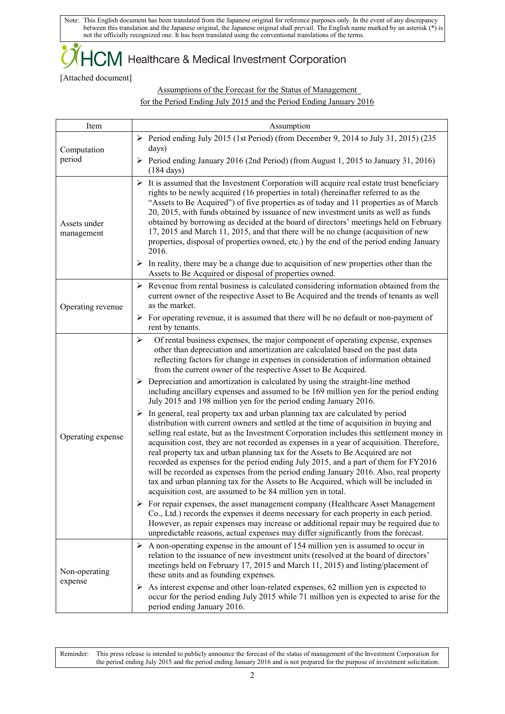Note: This English document has been translated from the Japanese original for reference purposes only. In the event of any discrepancy between this translation and the Japanese original, the Japanese original shall prevail. The English name marked by an asterisk (\*) is not the officially recognized one. It has been translated using the conventional translations of the terms.

### $\dag$  Healthcare & Medical Investment Corporation

[Attached document]

Assumptions of the Forecast for the Status of Management for the Period Ending July 2015 and the Period Ending January 2016

| Item                       | Assumption                                                                                                                                                                                                                                                                                                                                                                                                                                                                                                                                                                                                                                                                                                                                                                                               |  |  |  |
|----------------------------|----------------------------------------------------------------------------------------------------------------------------------------------------------------------------------------------------------------------------------------------------------------------------------------------------------------------------------------------------------------------------------------------------------------------------------------------------------------------------------------------------------------------------------------------------------------------------------------------------------------------------------------------------------------------------------------------------------------------------------------------------------------------------------------------------------|--|--|--|
| Computation<br>period      | Period ending July 2015 (1st Period) (from December 9, 2014 to July 31, 2015) (235<br>days)                                                                                                                                                                                                                                                                                                                                                                                                                                                                                                                                                                                                                                                                                                              |  |  |  |
|                            | $\triangleright$ Period ending January 2016 (2nd Period) (from August 1, 2015 to January 31, 2016)<br>$(184 \text{ days})$                                                                                                                                                                                                                                                                                                                                                                                                                                                                                                                                                                                                                                                                               |  |  |  |
| Assets under<br>management | $\triangleright$ It is assumed that the Investment Corporation will acquire real estate trust beneficiary<br>rights to be newly acquired (16 properties in total) (hereinafter referred to as the<br>"Assets to Be Acquired") of five properties as of today and 11 properties as of March<br>20, 2015, with funds obtained by issuance of new investment units as well as funds<br>obtained by borrowing as decided at the board of directors' meetings held on February<br>17, 2015 and March 11, 2015, and that there will be no change (acquisition of new<br>properties, disposal of properties owned, etc.) by the end of the period ending January<br>2016.<br>$\triangleright$ In reality, there may be a change due to acquisition of new properties other than the                             |  |  |  |
|                            | Assets to Be Acquired or disposal of properties owned.                                                                                                                                                                                                                                                                                                                                                                                                                                                                                                                                                                                                                                                                                                                                                   |  |  |  |
| Operating revenue          | $\triangleright$ Revenue from rental business is calculated considering information obtained from the<br>current owner of the respective Asset to Be Acquired and the trends of tenants as well<br>as the market.                                                                                                                                                                                                                                                                                                                                                                                                                                                                                                                                                                                        |  |  |  |
|                            | ➤<br>For operating revenue, it is assumed that there will be no default or non-payment of<br>rent by tenants.                                                                                                                                                                                                                                                                                                                                                                                                                                                                                                                                                                                                                                                                                            |  |  |  |
| Operating expense          | $\blacktriangleright$<br>Of rental business expenses, the major component of operating expense, expenses<br>other than depreciation and amortization are calculated based on the past data<br>reflecting factors for change in expenses in consideration of information obtained<br>from the current owner of the respective Asset to Be Acquired.<br>$\triangleright$ Depreciation and amortization is calculated by using the straight-line method                                                                                                                                                                                                                                                                                                                                                     |  |  |  |
|                            | including ancillary expenses and assumed to be 169 million yen for the period ending<br>July 2015 and 198 million yen for the period ending January 2016.                                                                                                                                                                                                                                                                                                                                                                                                                                                                                                                                                                                                                                                |  |  |  |
|                            | $\triangleright$ In general, real property tax and urban planning tax are calculated by period<br>distribution with current owners and settled at the time of acquisition in buying and<br>selling real estate, but as the Investment Corporation includes this settlement money in<br>acquisition cost, they are not recorded as expenses in a year of acquisition. Therefore,<br>real property tax and urban planning tax for the Assets to Be Acquired are not<br>recorded as expenses for the period ending July 2015, and a part of them for FY2016<br>will be recorded as expenses from the period ending January 2016. Also, real property<br>tax and urban planning tax for the Assets to Be Acquired, which will be included in<br>acquisition cost, are assumed to be 84 million yen in total. |  |  |  |
|                            | $\triangleright$ For repair expenses, the asset management company (Healthcare Asset Management<br>Co., Ltd.) records the expenses it deems necessary for each property in each period.<br>However, as repair expenses may increase or additional repair may be required due to<br>unpredictable reasons, actual expenses may differ significantly from the forecast.                                                                                                                                                                                                                                                                                                                                                                                                                                    |  |  |  |
| Non-operating<br>expense   | $\triangleright$ A non-operating expense in the amount of 154 million yen is assumed to occur in<br>relation to the issuance of new investment units (resolved at the board of directors'<br>meetings held on February 17, 2015 and March 11, 2015) and listing/placement of<br>these units and as founding expenses.                                                                                                                                                                                                                                                                                                                                                                                                                                                                                    |  |  |  |
|                            | $\triangleright$ As interest expense and other loan-related expenses, 62 million yen is expected to<br>occur for the period ending July 2015 while 71 million yen is expected to arise for the<br>period ending January 2016.                                                                                                                                                                                                                                                                                                                                                                                                                                                                                                                                                                            |  |  |  |

Reminder: This press release is intended to publicly announce the forecast of the status of management of the Investment Corporation for the period ending July 2015 and the period ending January 2016 and is not prepared for the purpose of investment solicitation.